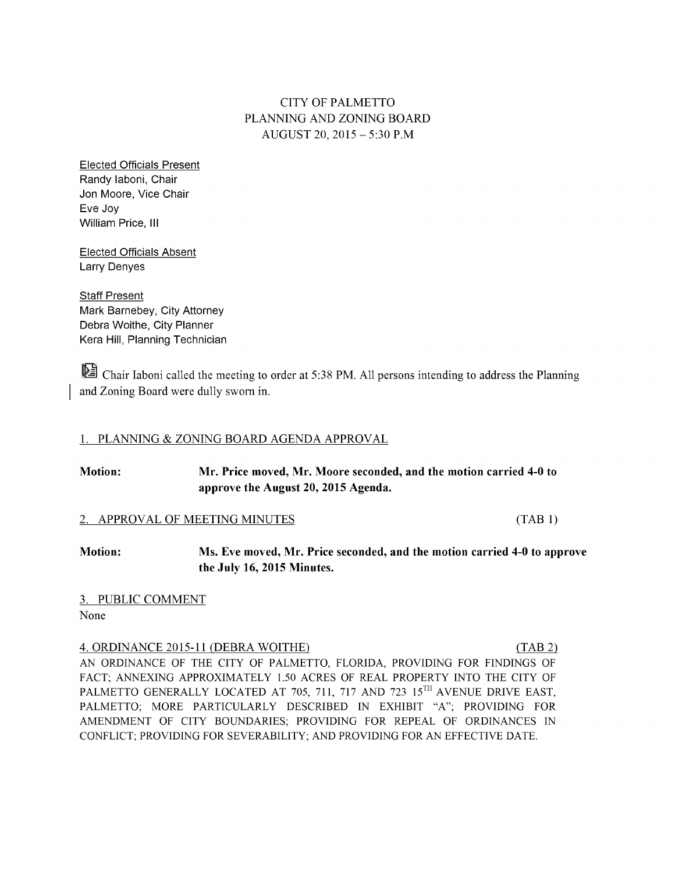# CITYOFPALMETTO PLANNING AND ZONING BOARD AUGUST20, 2015 – 5:30P.M

Elected Officials Present Randy Iaboni, Chair Jon Moore, Vice Chair Eve Joy William Price, III

**Elected Officials Absent** Larry Denyes

**Staff Present** Mark Barnebey, City Attorney Debra Woithe, City Planner Kera Hill, Planning Technician

Chair Iaboni called the meeting to order at 5:38 PM. All persons intending to address the Planning and Zoning Board were dully sworn in.

## 1. PLANNING & ZONING BOARD AGENDA APPROVAL

| <b>Motion:</b><br>Mr. Price moved, Mr. Moore seconded, and the motion carried 4-0 to<br>approve the August 20, 2015 Agenda. |                                                                                                        |         |
|-----------------------------------------------------------------------------------------------------------------------------|--------------------------------------------------------------------------------------------------------|---------|
|                                                                                                                             | 2. APPROVAL OF MEETING MINUTES                                                                         | (TAB 1) |
| <b>Motion:</b>                                                                                                              | Ms. Eve moved, Mr. Price seconded, and the motion carried 4-0 to approve<br>the July 16, 2015 Minutes. |         |
| 3. PUBLIC COMMENT                                                                                                           |                                                                                                        |         |
| None                                                                                                                        |                                                                                                        |         |
|                                                                                                                             | 4. ORDINANCE 2015-11 (DEBRA WOITHE)                                                                    | (TAB 2) |
|                                                                                                                             | AN ORDINANCE OF THE CITY OF PALMETTO, FLORIDA, PROVIDING FOR FINDINGS OF                               |         |
|                                                                                                                             | EACT: ANNEXING APPROXIMATELY 1.50 ACRES OF REAL PROPERTY INTO THE CITY OF                              |         |

AN ORDINANCE OF THE CITY OF PALMETTO, FLORIDA, PROVIDING FOR FINDINGS OF FACT; ANNEXING APPROXIMATELY 1.50 ACRES OF REAL PROPERTY INTO THE CITY OF PALMETTO GENERALLY LOCATED AT 705, 711, 717 AND 723  $15<sup>TH</sup>$  AVENUE DRIVE EAST, PALMETTO; MORE PARTICULARLY DESCRIBED IN EXHIBIT "A"; PROVIDING FOR AMENDMENT OF CITY BOUNDARIES; PROVIDING FOR REPEAL OF ORDINANCES IN CONFLICT; PROVIDING FOR SEVERABILITY; AND PROVIDING FOR AN EFFECTIVE DATE.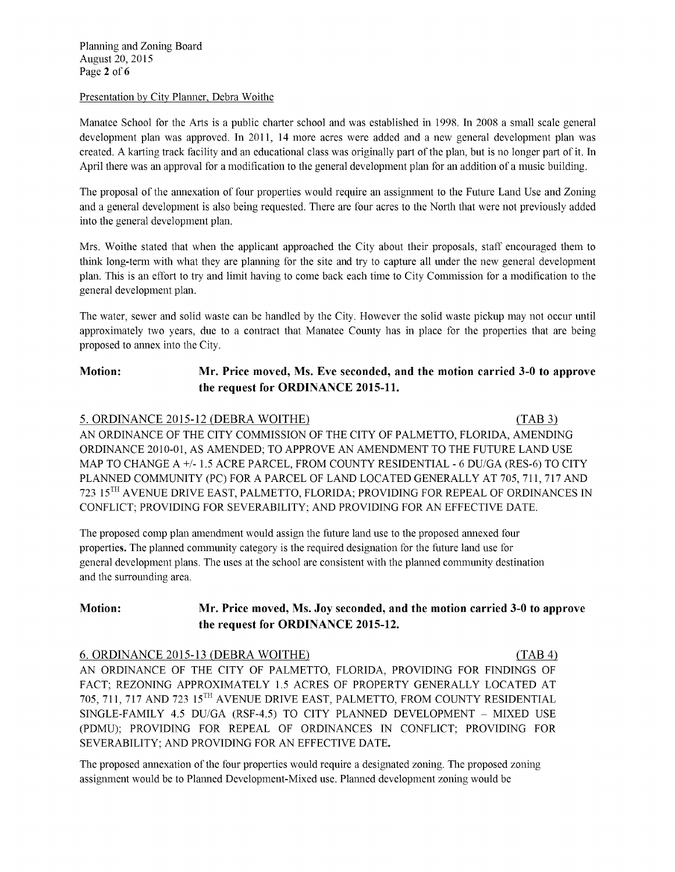Planning and Zoning Board August20, 2015 Page 2 of 6

#### Presentation by City Planner, Debra Woithe

Manatee School for the Arts is a public charter school and was established in 1998. In 2008 a small scale general development plan was approved. In 2011, 14 more acres were added and a new general development plan was created. A karting track facility and an educational class was originally part of the plan, but is no longer part of it. In April there was an approval for a modification to the general development plan for an addition of a music building.

The proposal of the annexation of four properties would require an assignment to the Future Land Use and Zoning and a general development is also being requested. There are four acres to the North that were not previously added into the general development plan.

Mrs. Woithe stated that when the applicant approached the City about their proposals, staff encouraged them to think long-term with what they are planning for the site and try to capture all under the new general development plan. This is an effort to try and limit having to come back each time to City Commission for a modification to the general development plan.

The water, sewer and solid waste can be handled by the City. However the solid waste pickup may not occur until approximately two years, due to a contract that Manatee County has in place for the properties that are being proposed to annex into the City.

# Motion: Mr. Price moved, Ms. Eve seconded, and the motion carried 3-0 to approve the request for ORDINANCE 2015-11.

### 5. ORDINANCE 2015-12 (DEBRA WOITHE) (TAB 3)

AN ORDINANCE OF THE CITY COMMISSION OF THE CITY OF PALMETTO, FLORIDA, AMENDING ORDINANCE 2010-01, AS AMENDED; TO APPROVE AN AMENDMENT TO THE FUTURE LAND USE MAP TO CHANGE A +/- 1.5 ACRE PARCEL, FROM COUNTY RESIDENTIAL - 6 DU/GA (RES-6) TO CITY PLANNED COMMUNITY (PC) FOR A PARCEL OF LAND LOCATED GENERALLY AT 705, 711, 717 AND  $723$   $15^{\text{TH}}$  AVENUE DRIVE EAST, PALMETTO, FLORIDA; PROVIDING FOR REPEAL OF ORDINANCES IN CONFLICT; PROVIDING FOR SEVERABILITY; AND PROVIDING FOR AN EFFECTIVE DATE.

The proposed comp plan amendment would assign the future land use to the proposed annexed four properties. The planned community category is the required designation for the future land use for general development plans. The uses at the school are consistent with the planned community destination and the surrounding area.

# Motion: Mr. Price moved, Ms. Joy seconded, and the motion carried 3-0 to approve the request for ORDINANCE 2015-12.

# 6. ORDINANCE 2015-13 (DEBRA WOITHE) (TAB 4)

AN ORDINANCE OF THE CITY OF PALMETTO, FLORIDA, PROVIDING FOR FINDINGS OF FACT; REZONING APPROXIMATELY 1.5 ACRES OF PROPERTY GENERALLY LOCATED AT  $705$ ,  $711$ ,  $717$  AND  $723$   $15$ <sup>TH</sup> AVENUE DRIVE EAST, PALMETTO, FROM COUNTY RESIDENTIAL SINGLE-FAMILY 4.5 DU/GA (RSF-4.5) TO CITY PLANNED DEVELOPMENT – MIXED USE (PDMU); PROVIDING FOR REPEAL OF ORDINANCES IN CONFLICT; PROVIDING FOR SEVERABILITY; AND PROVIDING FOR AN EFFECTIVE DATE.

The proposed annexation of the four properties would require a designated zoning. The proposed zoning assignment would be to Planned Development-Mixed use. Planned development zoning would be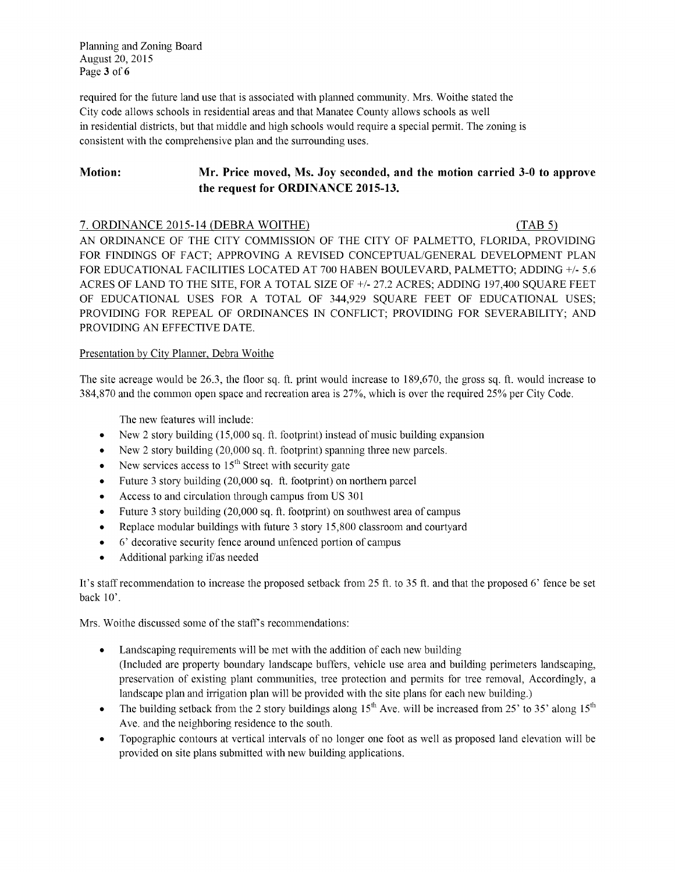Planning and Zoning Board August 20, 2015 Page 3 of 6

required for the future land use that is associated with planned community. Mrs. Woithe stated the City code allows schools in residential areas and that Manatee County allows schools as well in residential districts, but that middle and high schools would require a special permit. The zoning is consistent with the comprehensive plan and the surrounding uses.

#### Motion: Mr. Price moved, Ms. Joy seconded, and the motion carried 3-0 to approve the request for ORDINANCE 2015-13.

7. ORDINANCE 2015-14 (DEBRA WOITHE)  $(TAB 5)$ AN ORDINANCE OF THE CITY COMMISSION OF THE CITY OF PALMETTO, FLORIDA, PROVIDING FOR FINDINGS OF FACT; APPROVING A REVISED CONCEPTUAL/GENERAL DEVELOPMENT PLAN FOR EDUCATIONAL FACILITIES LOCATED AT 700 HABEN BOULEVARD, PALMETTO; ADDING +/- 5.6 ACRES OF LAND TO THE SITE, FOR A TOTAL SIZE OF +/- 27.2 ACRES; ADDING 197,400 SQUARE FEET OF EDUCATIONAL USES FOR A TOTAL OF 344,929 SQUARE FEET OF EDUCATIONAL USES; PROVIDING FOR REPEAL OF ORDINANCES IN CONFLICT; PROVIDING FOR SEVERABILITY; AND PROVIDING AN EFFECTIVE DATE.

### Presentation by City Planner, Debra Woithe

The site acreage would be 26.3, the floor sq. ft. print would increase to 189,670, the gross sq. ft. would increase to 384,870 and the common open space and recreation area is 27%, which is over the required 25% per City Code.

The new features will include:

- New 2 story building (15,000 sq. ft. footprint) instead of music building expansion  $\bullet$
- New 2 story building (20,000 sq. ft. footprint) spanning three new parcels.  $\bullet$
- New services access to  $15<sup>th</sup>$  Street with security gate  $\bullet$
- Future 3 story building (20,000 sq. ft. footprint) on northern parcel  $\bullet$
- Access to and circulation through campus from US 301  $\bullet$
- Future 3 story building (20,000 sq. ft. footprint) on southwest area of campus  $\bullet$
- Replace modular buildings with future 3 story 15,800 classroom and courtyard  $\bullet$
- 6' decorative security fence around unfenced portion of campus  $\bullet$
- Additional parking if/as needed  $\bullet$

It's staff recommendation to increase the proposed setback from 25 ft. to 35 ft. and that the proposed 6' fence be set back  $10'$ .

Mrs. Woithe discussed some of the staff's recommendations:

- Landscaping requirements will be met with the addition of each new building  $\bullet$ (Included are property boundary landscape buffers, vehicle use area and building perimeters landscaping, preservation of existing plant communities, tree protection and permits for tree removal, Accordingly, a landscape plan and irrigation plan will be provided with the site plans for each new building.)
- The building setback from the 2 story buildings along  $15<sup>th</sup>$  Ave. will be increased from 25' to 35' along  $15<sup>th</sup>$  $\bullet$ Ave. and the neighboring residence to the south.
- Topographic contours at vertical intervals of no longer one foot as well as proposed land elevation will be provided on site plans submitted with new building applications.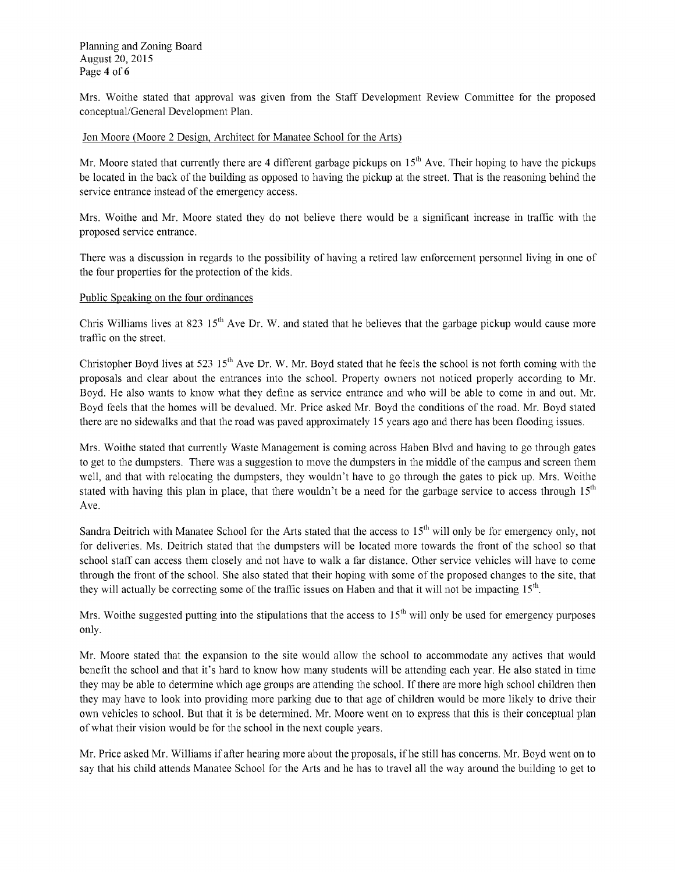Planning and Zoning Board August20, 2015 Page 4 of 6

Mrs. Woithe stated that approval was given from the Staff Development Review Committee for the proposed conceptual/General Development Plan.

#### Jon Moore (Moore 2 Design, Architect for Manatee School for the Arts)

Mr. Moore stated that currently there are 4 different garbage pickups on  $15<sup>th</sup>$  Ave. Their hoping to have the pickups be located in the back of the building as opposed to having the pickup at the street. That is the reasoning behind the service entrance instead of the emergency access.

Mrs. Woithe and Mr. Moore stated they do not believe there would be a significant increase in traffic with the proposed service entrance.

There was a discussion in regards to the possibility of having a retired law enforcement personnel living in one of the four properties for the protection of the kids.

### Public Speaking on the four ordinances

Chris Williams lives at 823 15<sup>th</sup> Ave Dr. W. and stated that he believes that the garbage pickup would cause more traffic on the street.

Christopher Boyd lives at 523 15<sup>th</sup> Ave Dr. W. Mr. Boyd stated that he feels the school is not forth coming with the proposals and clear about the entrances into the school. Property owners not noticed properly according to Mr. Boyd. He also wants to know what they define as service entrance and who will be able to come in and out. Mr. Boyd feels that the homes will be devalued. Mr. Price asked Mr. Boyd the conditions of the road. Mr. Boyd stated there are no sidewalks and that the road was paved approximately 15 years ago and there has been flooding issues.

Mrs. Woithe stated that currently Waste Management is coming across Haben Blvd and having to go through gates to get to the dumpsters. There was a suggestion to move the dumpsters in the middle of the campus and screen them well, and that with relocating the dumpsters, they wouldn't have to go through the gates to pick up. Mrs. Woithe stated with having this plan in place, that there wouldn't be a need for the garbage service to access through  $15<sup>th</sup>$ Ave.

Sandra Deitrich with Manatee School for the Arts stated that the access to  $15<sup>th</sup>$  will only be for emergency only, not for deliveries. Ms. Deitrich stated that the dumpsters will be located more towards the front of the school so that school staff can access them closely and not have to walk a far distance. Other service vehicles will have to come through the front of the school. She also stated that their hoping with some of the proposed changes to the site, that they will actually be correcting some of the traffic issues on Haben and that it will not be impacting  $15<sup>th</sup>$ .

Mrs. Woithe suggested putting into the stipulations that the access to  $15<sup>th</sup>$  will only be used for emergency purposes only.

Mr. Moore stated that the expansion to the site would allow the school to accommodate any actives that would benefit the school and that it's hard to know how many students will be attending each year. He also stated in time they may be able to determine which age groups are attending the school. If there are more high school children then they may have to look into providing more parking due to that age of children would be more likely to drive their own vehicles to school. But that it is be determined. Mr. Moore went on to express that this is their conceptual plan of what their vision would be for the school in the next couple years.

Mr. Price asked Mr. Williams if after hearing more about the proposals, if he still has concerns. Mr. Boyd went on to say that his child attends Manatee School for the Arts and he has to travel all the way around the building to get to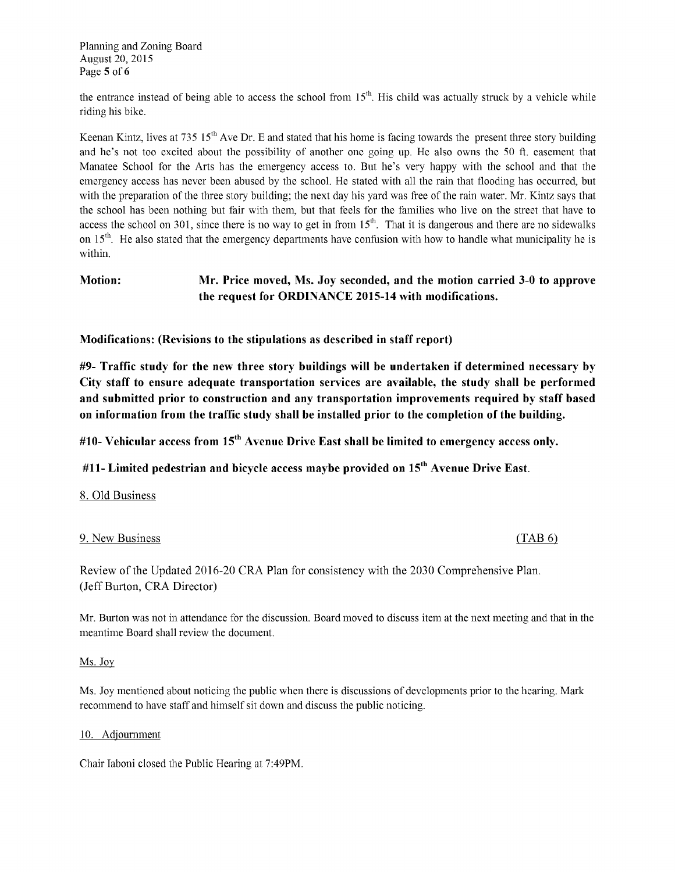Planning and Zoning Board August20, 2015 Page 5 of 6

the entrance instead of being able to access the school from 15<sup>th</sup>. His child was actually struck by a vehicle while riding his bike.

Keenan Kintz, lives at 735  $15<sup>th</sup>$  Ave Dr. E and stated that his home is facing towards the present three story building and he's not too excited about the possibility of another one going up. He also owns the 50 ft. easement that Manatee School for the Arts has the emergency access to. But he's very happy with the school and that the emergency access has never been abused by the school. He stated with all the rain that flooding has occurred, but with the preparation of the three story building; the next day his yard was free of the rain water. Mr. Kintz says that the school has been nothing but fair with them, but that feels for the families who live on the street that have to access the school on 301, since there is no way to get in from  $15<sup>th</sup>$ . That it is dangerous and there are no sidewalks on  $15<sup>th</sup>$ . He also stated that the emergency departments have confusion with how to handle what municipality he is within.

# Motion: Mr. Price moved, Ms. Joy seconded, and the motion carried 3-0 to approve the request for ORDINANCE 2015-14 with modifications.

Modifications: (Revisions to the stipulations as described in staff report)

 $#9$ - Traffic study for the new three story buildings will be undertaken if determined necessary by City staff to ensure adequate transportation services are available, the study shall be performed and submitted prior to construction and any transportation improvements required by staff based on information from the traffic study shall be installed prior to the completion of the building.

#10- Vehicular access from  $15<sup>th</sup>$  Avenue Drive East shall be limited to emergency access only.

#11- Limited pedestrian and bicycle access maybe provided on  $15<sup>th</sup>$  Avenue Drive East.

#### 8. Old Business

### 9. New Business (TAB 6)

Review of the Updated 2016-20 CRA Plan for consistency with the 2030 Comprehensive Plan. JeffBurton, CRADirector)

Mr. Burton was not in attendance for the discussion. Board moved to discuss item at the next meeting and that in the meantime Board shall review the document.

#### Ms. Joy

Ms. Joy mentioned about noticing the public when there is discussions of developments prior to the hearing. Mark recommend to have staff and himself sit down and discuss the public noticing.

#### 10. Adjournment

Chair Iaboni closed the Public Hearing at 7:49PM.